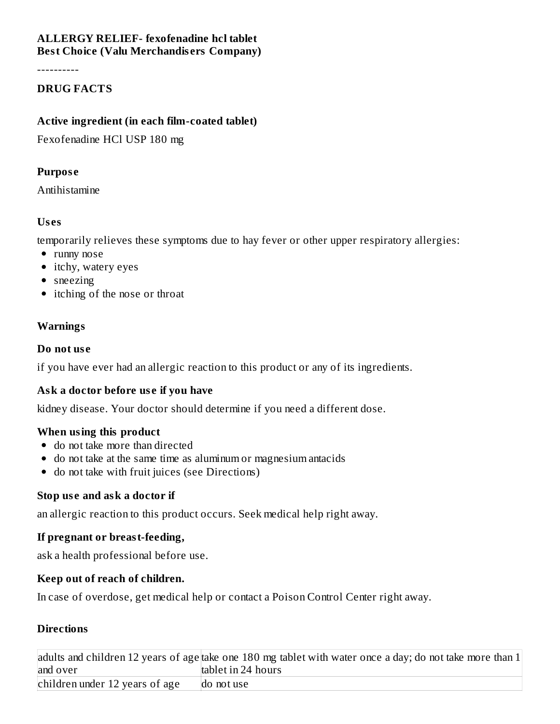### **ALLERGY RELIEF- fexofenadine hcl tablet Best Choice (Valu Merchandis ers Company)**

----------

### **DRUG FACTS**

### **Active ingredient (in each film-coated tablet)**

Fexofenadine HCl USP 180 mg

### **Purpos e**

Antihistamine

### **Us es**

temporarily relieves these symptoms due to hay fever or other upper respiratory allergies:

- runny nose
- itchy, watery eyes
- sneezing
- itching of the nose or throat

# **Warnings**

### **Do not us e**

if you have ever had an allergic reaction to this product or any of its ingredients.

# **Ask a doctor before us e if you have**

kidney disease. Your doctor should determine if you need a different dose.

# **When using this product**

- do not take more than directed
- do not take at the same time as aluminum or magnesium antacids
- do not take with fruit juices (see Directions)

# **Stop us e and ask a doctor if**

an allergic reaction to this product occurs. Seek medical help right away.

# **If pregnant or breast-feeding,**

ask a health professional before use.

# **Keep out of reach of children.**

In case of overdose, get medical help or contact a Poison Control Center right away.

# **Directions**

|                                | adults and children 12 years of age take one 180 mg tablet with water once a day; do not take more than $1$ |
|--------------------------------|-------------------------------------------------------------------------------------------------------------|
| and over                       | tablet in 24 hours                                                                                          |
| children under 12 years of age | do not use                                                                                                  |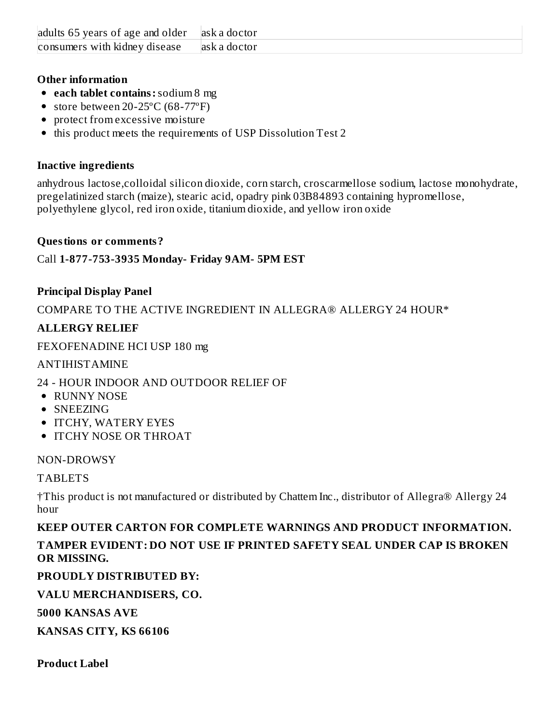| adults 65 years of age and older | lask a doctor |
|----------------------------------|---------------|
| consumers with kidney disease    | lask a doctor |

### **Other information**

- **each tablet contains:**sodium 8 mg
- store between 20-25°C (68-77°F)
- protect from excessive moisture
- this product meets the requirements of USP Dissolution Test 2

### **Inactive ingredients**

anhydrous lactose,colloidal silicon dioxide, corn starch, croscarmellose sodium, lactose monohydrate, pregelatinized starch (maize), stearic acid, opadry pink 03B84893 containing hypromellose, polyethylene glycol, red iron oxide, titanium dioxide, and yellow iron oxide

### **Questions or comments?**

Call **1-877-753-3935 Monday- Friday 9AM- 5PM EST**

# **Principal Display Panel**

COMPARE TO THE ACTIVE INGREDIENT IN ALLEGRA® ALLERGY 24 HOUR\*

# **ALLERGY RELIEF**

FEXOFENADINE HCI USP 180 mg

ANTIHISTAMINE

# 24 - HOUR INDOOR AND OUTDOOR RELIEF OF

- RUNNY NOSE
- SNEEZING
- ITCHY, WATERY EYES
- **ITCHY NOSE OR THROAT**

#### NON-DROWSY

# TABLETS

†This product is not manufactured or distributed by Chattem Inc., distributor of Allegra® Allergy 24 hour

**KEEP OUTER CARTON FOR COMPLETE WARNINGS AND PRODUCT INFORMATION. TAMPER EVIDENT: DO NOT USE IF PRINTED SAFETY SEAL UNDER CAP IS BROKEN OR MISSING.**

# **PROUDLY DISTRIBUTED BY:**

# **VALU MERCHANDISERS, CO.**

**5000 KANSAS AVE**

**KANSAS CITY, KS 66106**

**Product Label**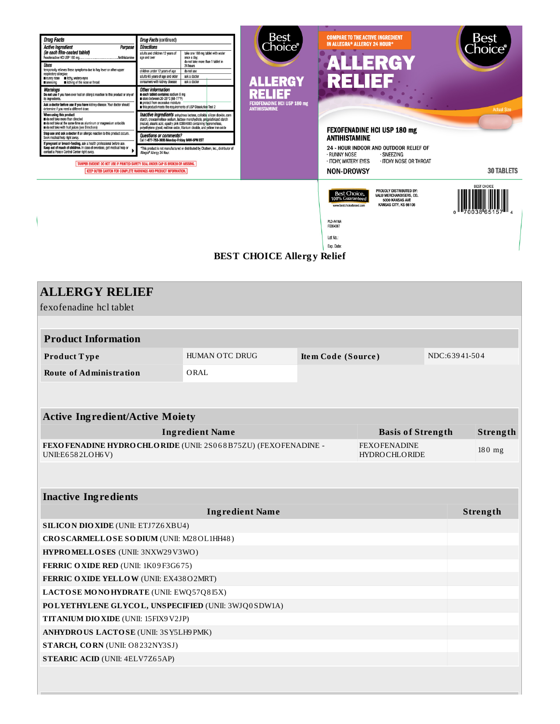

#### **BEST CHOICE Allerg y Relief**

| <b>ALLERGY RELIEF</b>                                                              |                        |                    |                                             |               |          |  |  |
|------------------------------------------------------------------------------------|------------------------|--------------------|---------------------------------------------|---------------|----------|--|--|
| fexofenadine hcl tablet                                                            |                        |                    |                                             |               |          |  |  |
|                                                                                    |                        |                    |                                             |               |          |  |  |
| <b>Product Information</b>                                                         |                        |                    |                                             |               |          |  |  |
| Product Type                                                                       | HUMAN OTC DRUG         | Item Code (Source) |                                             | NDC:63941-504 |          |  |  |
| <b>Route of Administration</b>                                                     | ORAL                   |                    |                                             |               |          |  |  |
|                                                                                    |                        |                    |                                             |               |          |  |  |
|                                                                                    |                        |                    |                                             |               |          |  |  |
| <b>Active Ingredient/Active Moiety</b>                                             |                        |                    |                                             |               |          |  |  |
|                                                                                    | <b>Ingredient Name</b> |                    | <b>Basis of Strength</b>                    |               | Strength |  |  |
| FEXOFENADINE HYDRO CHLORIDE (UNII: 2S068B75ZU) (FEXOFENADINE -<br>UNII:E6582LOH6V) |                        |                    | <b>FEXOFENADINE</b><br><b>HYDROCHLORIDE</b> |               | 180 mg   |  |  |
|                                                                                    |                        |                    |                                             |               |          |  |  |
|                                                                                    |                        |                    |                                             |               |          |  |  |
| <b>Inactive Ingredients</b>                                                        |                        |                    |                                             |               |          |  |  |
| <b>Ingredient Name</b>                                                             |                        |                    |                                             |               | Strength |  |  |
| <b>SILICON DIO XIDE (UNII: ETJ7Z6 XBU4)</b>                                        |                        |                    |                                             |               |          |  |  |
| CROSCARMELLOSE SODIUM (UNII: M28OL1HH48)                                           |                        |                    |                                             |               |          |  |  |
| HYPROMELLOSES (UNII: 3NXW29V3WO)                                                   |                        |                    |                                             |               |          |  |  |
| FERRIC OXIDE RED (UNII: 1K09F3G675)                                                |                        |                    |                                             |               |          |  |  |
| FERRIC OXIDE YELLOW (UNII: EX43802MRT)                                             |                        |                    |                                             |               |          |  |  |
| LACTOSE MONOHYDRATE (UNII: EWQ57Q8I5X)                                             |                        |                    |                                             |               |          |  |  |
| POLYETHYLENE GLYCOL, UNSPECIFIED (UNII: 3WJQ0SDW1A)                                |                        |                    |                                             |               |          |  |  |
| TITANIUM DIO XIDE (UNII: 15FIX9 V2JP)                                              |                        |                    |                                             |               |          |  |  |
| ANHYDROUS LACTOSE (UNII: 3SY5LH9PMK)                                               |                        |                    |                                             |               |          |  |  |
| STARCH, CORN (UNII: O8232NY3SJ)                                                    |                        |                    |                                             |               |          |  |  |
| <b>STEARIC ACID (UNII: 4ELV7Z65AP)</b>                                             |                        |                    |                                             |               |          |  |  |
|                                                                                    |                        |                    |                                             |               |          |  |  |
|                                                                                    |                        |                    |                                             |               |          |  |  |